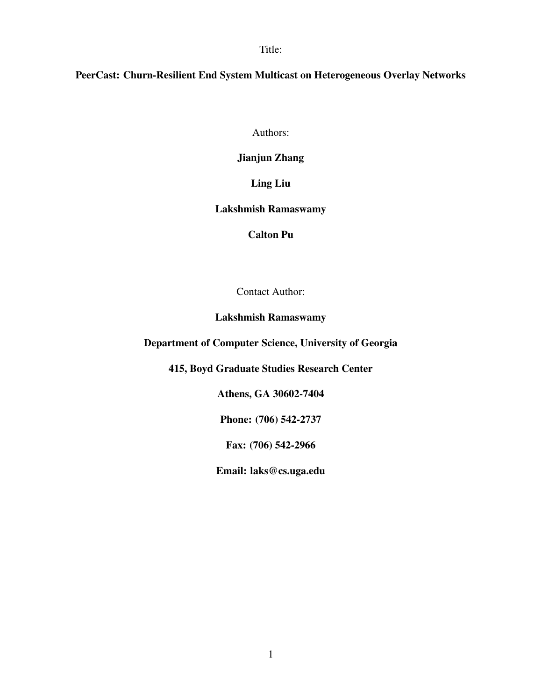Title:

## **PeerCast: Churn-Resilient End System Multicast on Heterogeneous Overlay Networks**

Authors:

**Jianjun Zhang**

**Ling Liu**

## **Lakshmish Ramaswamy**

## **Calton Pu**

Contact Author:

## **Lakshmish Ramaswamy**

## **Department of Computer Science, University of Georgia**

**415, Boyd Graduate Studies Research Center**

**Athens, GA 30602-7404**

**Phone: (706) 542-2737**

**Fax: (706) 542-2966**

**Email: laks@cs.uga.edu**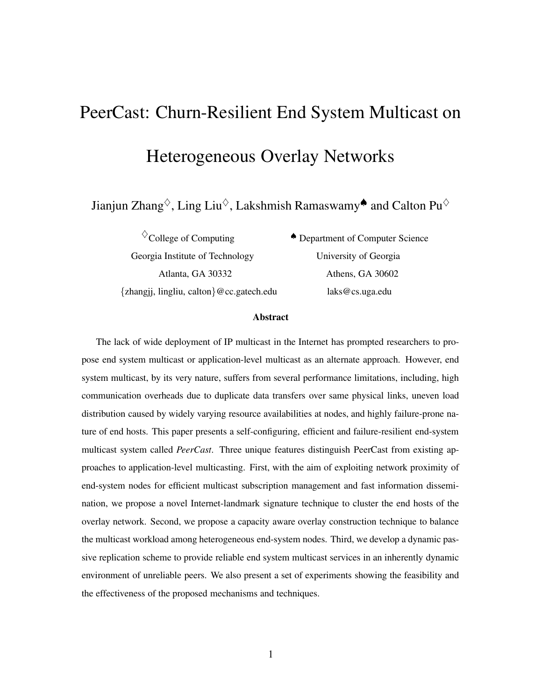# PeerCast: Churn-Resilient End System Multicast on Heterogeneous Overlay Networks

Jianjun Zhang<sup> $\diamond$ </sup>, Ling Liu $\diamond$ , Lakshmish Ramaswamy $\spadesuit$  and Calton Pu $\diamond$ 

Georgia Institute of Technology University of Georgia {zhangjj, lingliu, calton}@cc.gatech.edu laks@cs.uga.edu

 $\Diamond$  College of Computing  $\Diamond$  Department of Computer Science Atlanta, GA 30332 Athens, GA 30602

#### **Abstract**

The lack of wide deployment of IP multicast in the Internet has prompted researchers to propose end system multicast or application-level multicast as an alternate approach. However, end system multicast, by its very nature, suffers from several performance limitations, including, high communication overheads due to duplicate data transfers over same physical links, uneven load distribution caused by widely varying resource availabilities at nodes, and highly failure-prone nature of end hosts. This paper presents a self-configuring, efficient and failure-resilient end-system multicast system called *PeerCast*. Three unique features distinguish PeerCast from existing approaches to application-level multicasting. First, with the aim of exploiting network proximity of end-system nodes for efficient multicast subscription management and fast information dissemination, we propose a novel Internet-landmark signature technique to cluster the end hosts of the overlay network. Second, we propose a capacity aware overlay construction technique to balance the multicast workload among heterogeneous end-system nodes. Third, we develop a dynamic passive replication scheme to provide reliable end system multicast services in an inherently dynamic environment of unreliable peers. We also present a set of experiments showing the feasibility and the effectiveness of the proposed mechanisms and techniques.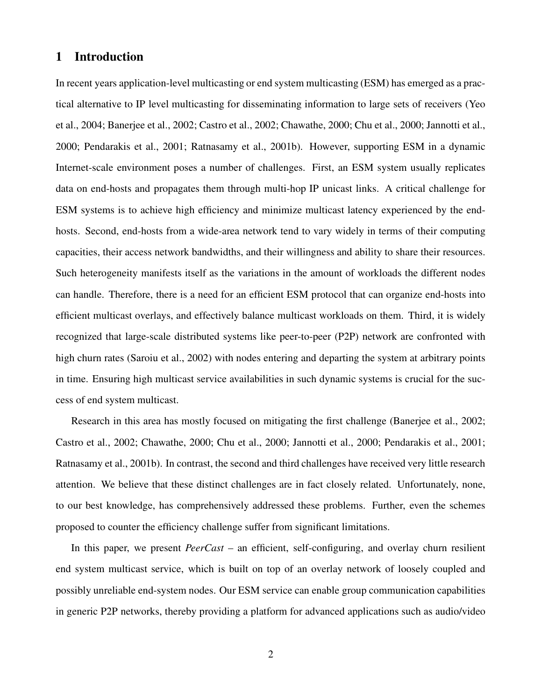## **1 Introduction**

In recent years application-level multicasting or end system multicasting (ESM) has emerged as a practical alternative to IP level multicasting for disseminating information to large sets of receivers (Yeo et al., 2004; Banerjee et al., 2002; Castro et al., 2002; Chawathe, 2000; Chu et al., 2000; Jannotti et al., 2000; Pendarakis et al., 2001; Ratnasamy et al., 2001b). However, supporting ESM in a dynamic Internet-scale environment poses a number of challenges. First, an ESM system usually replicates data on end-hosts and propagates them through multi-hop IP unicast links. A critical challenge for ESM systems is to achieve high efficiency and minimize multicast latency experienced by the endhosts. Second, end-hosts from a wide-area network tend to vary widely in terms of their computing capacities, their access network bandwidths, and their willingness and ability to share their resources. Such heterogeneity manifests itself as the variations in the amount of workloads the different nodes can handle. Therefore, there is a need for an efficient ESM protocol that can organize end-hosts into efficient multicast overlays, and effectively balance multicast workloads on them. Third, it is widely recognized that large-scale distributed systems like peer-to-peer (P2P) network are confronted with high churn rates (Saroiu et al., 2002) with nodes entering and departing the system at arbitrary points in time. Ensuring high multicast service availabilities in such dynamic systems is crucial for the success of end system multicast.

Research in this area has mostly focused on mitigating the first challenge (Banerjee et al., 2002; Castro et al., 2002; Chawathe, 2000; Chu et al., 2000; Jannotti et al., 2000; Pendarakis et al., 2001; Ratnasamy et al., 2001b). In contrast, the second and third challenges have received very little research attention. We believe that these distinct challenges are in fact closely related. Unfortunately, none, to our best knowledge, has comprehensively addressed these problems. Further, even the schemes proposed to counter the efficiency challenge suffer from significant limitations.

In this paper, we present *PeerCast* – an efficient, self-configuring, and overlay churn resilient end system multicast service, which is built on top of an overlay network of loosely coupled and possibly unreliable end-system nodes. Our ESM service can enable group communication capabilities in generic P2P networks, thereby providing a platform for advanced applications such as audio/video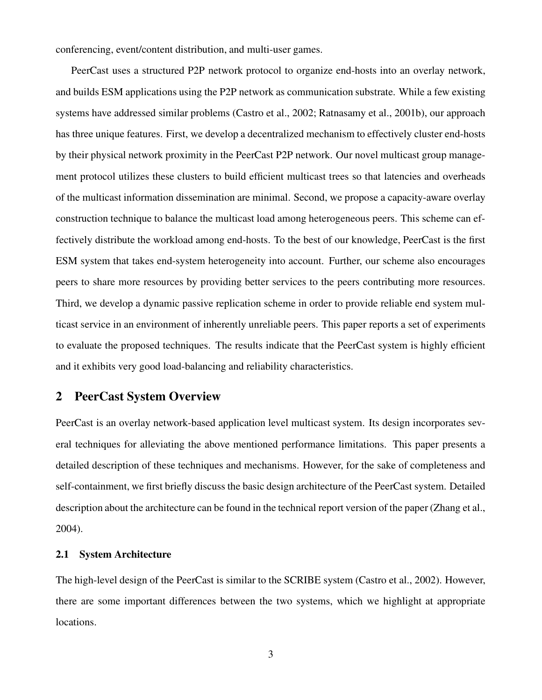conferencing, event/content distribution, and multi-user games.

PeerCast uses a structured P2P network protocol to organize end-hosts into an overlay network, and builds ESM applications using the P2P network as communication substrate. While a few existing systems have addressed similar problems (Castro et al., 2002; Ratnasamy et al., 2001b), our approach has three unique features. First, we develop a decentralized mechanism to effectively cluster end-hosts by their physical network proximity in the PeerCast P2P network. Our novel multicast group management protocol utilizes these clusters to build efficient multicast trees so that latencies and overheads of the multicast information dissemination are minimal. Second, we propose a capacity-aware overlay construction technique to balance the multicast load among heterogeneous peers. This scheme can effectively distribute the workload among end-hosts. To the best of our knowledge, PeerCast is the first ESM system that takes end-system heterogeneity into account. Further, our scheme also encourages peers to share more resources by providing better services to the peers contributing more resources. Third, we develop a dynamic passive replication scheme in order to provide reliable end system multicast service in an environment of inherently unreliable peers. This paper reports a set of experiments to evaluate the proposed techniques. The results indicate that the PeerCast system is highly efficient and it exhibits very good load-balancing and reliability characteristics.

## **2 PeerCast System Overview**

PeerCast is an overlay network-based application level multicast system. Its design incorporates several techniques for alleviating the above mentioned performance limitations. This paper presents a detailed description of these techniques and mechanisms. However, for the sake of completeness and self-containment, we first briefly discuss the basic design architecture of the PeerCast system. Detailed description about the architecture can be found in the technical report version of the paper (Zhang et al., 2004).

#### **2.1 System Architecture**

The high-level design of the PeerCast is similar to the SCRIBE system (Castro et al., 2002). However, there are some important differences between the two systems, which we highlight at appropriate locations.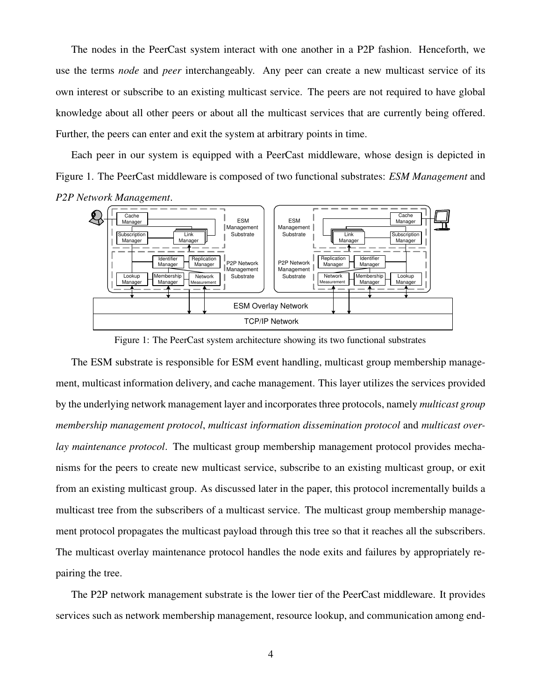The nodes in the PeerCast system interact with one another in a P2P fashion. Henceforth, we use the terms *node* and *peer* interchangeably. Any peer can create a new multicast service of its own interest or subscribe to an existing multicast service. The peers are not required to have global knowledge about all other peers or about all the multicast services that are currently being offered. Further, the peers can enter and exit the system at arbitrary points in time.

Each peer in our system is equipped with a PeerCast middleware, whose design is depicted in Figure 1. The PeerCast middleware is composed of two functional substrates: *ESM Management* and *P2P Network Management*.



Figure 1: The PeerCast system architecture showing its two functional substrates

The ESM substrate is responsible for ESM event handling, multicast group membership management, multicast information delivery, and cache management. This layer utilizes the services provided by the underlying network management layer and incorporatesthree protocols, namely *multicast group membership management protocol*, *multicast information dissemination protocol* and *multicast overlay maintenance protocol*. The multicast group membership management protocol provides mechanisms for the peers to create new multicast service, subscribe to an existing multicast group, or exit from an existing multicast group. As discussed later in the paper, this protocol incrementally builds a multicast tree from the subscribers of a multicast service. The multicast group membership management protocol propagates the multicast payload through this tree so that it reaches all the subscribers. The multicast overlay maintenance protocol handles the node exits and failures by appropriately repairing the tree.

The P2P network management substrate is the lower tier of the PeerCast middleware. It provides services such as network membership management, resource lookup, and communication among end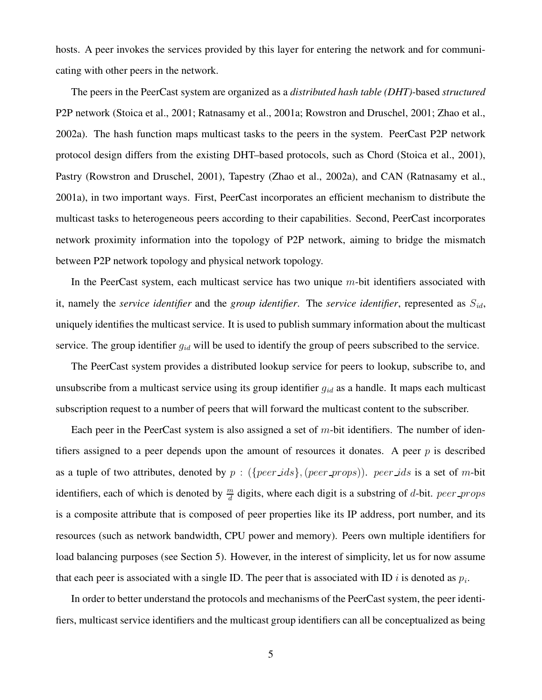hosts. A peer invokes the services provided by this layer for entering the network and for communicating with other peers in the network.

The peers in the PeerCast system are organized as a *distributed hash table (DHT)*-based *structured* P2P network (Stoica et al., 2001; Ratnasamy et al., 2001a; Rowstron and Druschel, 2001; Zhao et al., 2002a). The hash function maps multicast tasks to the peers in the system. PeerCast P2P network protocol design differs from the existing DHT–based protocols, such as Chord (Stoica et al., 2001), Pastry (Rowstron and Druschel, 2001), Tapestry (Zhao et al., 2002a), and CAN (Ratnasamy et al., 2001a), in two important ways. First, PeerCast incorporates an efficient mechanism to distribute the multicast tasks to heterogeneous peers according to their capabilities. Second, PeerCast incorporates network proximity information into the topology of P2P network, aiming to bridge the mismatch between P2P network topology and physical network topology.

In the PeerCast system, each multicast service has two unique  $m$ -bit identifiers associated with it, namely the *service identifier* and the *group identifier*. The *service identifier*, represented as  $S_{id}$ , uniquely identifies the multicast service. It is used to publish summary information about the multicast service. The group identifier  $g_{id}$  will be used to identify the group of peers subscribed to the service.

The PeerCast system provides a distributed lookup service for peers to lookup, subscribe to, and unsubscribe from a multicast service using its group identifier  $g_{id}$  as a handle. It maps each multicast subscription request to a number of peers that will forward the multicast content to the subscriber.

Each peer in the PeerCast system is also assigned a set of  $m$ -bit identifiers. The number of identifiers assigned to a peer depends upon the amount of resources it donates. A peer  $p$  is described as a tuple of two attributes, denoted by  $p : ({\{peer\_ids\}}, (peer\_props))$ . peer ids is a set of m-bit identifiers, each of which is denoted by  $\frac{m}{d}$  digits, where each digit is a substring of d-bit. peer props is a composite attribute that is composed of peer properties like its IP address, port number, and its resources (such as network bandwidth, CPU power and memory). Peers own multiple identifiers for load balancing purposes (see Section 5). However, in the interest of simplicity, let us for now assume that each peer is associated with a single ID. The peer that is associated with ID i is denoted as  $p_i$ .

In order to better understand the protocols and mechanisms of the PeerCast system, the peer identifiers, multicast service identifiers and the multicast group identifiers can all be conceptualized as being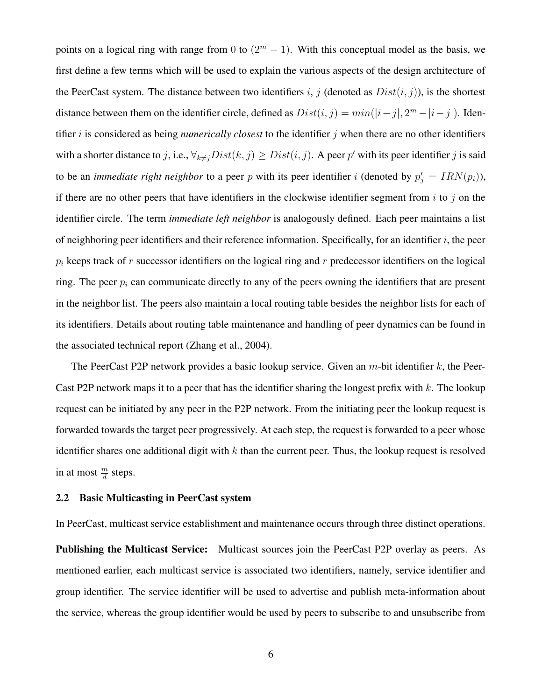points on a logical ring with range from 0 to  $(2<sup>m</sup> - 1)$ . With this conceptual model as the basis, we first define a few terms which will be used to explain the various aspects of the design architecture of the PeerCast system. The distance between two identifiers i, j (denoted as  $Dist(i, j)$ ), is the shortest distance between them on the identifier circle, defined as  $Dist(i, j) = min(|i - j|, 2<sup>m</sup> - |i - j|)$ . Identifier i is considered as being *numerically closest* to the identifier j when there are no other identifiers with a shorter distance to j, i.e.,  $\forall_{k\neq j}Dist(k, j) \ge Dist(i, j)$ . A peer p' with its peer identifier j is said to be an *immediate right neighbor* to a peer p with its peer identifier i (denoted by  $p'_j = IRN(p_i)$ ), if there are no other peers that have identifiers in the clockwise identifier segment from  $i$  to  $j$  on the identifier circle. The term *immediate left neighbor* is analogously defined. Each peer maintains a list of neighboring peer identifiers and their reference information. Specifically, for an identifier  $i$ , the peer  $p_i$  keeps track of r successor identifiers on the logical ring and r predecessor identifiers on the logical ring. The peer  $p_i$  can communicate directly to any of the peers owning the identifiers that are present in the neighbor list. The peers also maintain a local routing table besides the neighbor lists for each of its identifiers. Details about routing table maintenance and handling of peer dynamics can be found in the associated technical report (Zhang et al., 2004).

The PeerCast P2P network provides a basic lookup service. Given an  $m$ -bit identifier  $k$ , the Peer-Cast P2P network maps it to a peer that has the identifier sharing the longest prefix with  $k$ . The lookup request can be initiated by any peer in the P2P network. From the initiating peer the lookup request is forwarded towards the target peer progressively. At each step, the request is forwarded to a peer whose identifier shares one additional digit with  $k$  than the current peer. Thus, the lookup request is resolved in at most  $\frac{m}{d}$  steps.

#### **2.2 Basic Multicasting in PeerCast system**

In PeerCast, multicast service establishment and maintenance occurs through three distinct operations.

**Publishing the Multicast Service:** Multicast sources join the PeerCast P2P overlay as peers. As mentioned earlier, each multicast service is associated two identifiers, namely, service identifier and group identifier. The service identifier will be used to advertise and publish meta-information about the service, whereas the group identifier would be used by peers to subscribe to and unsubscribe from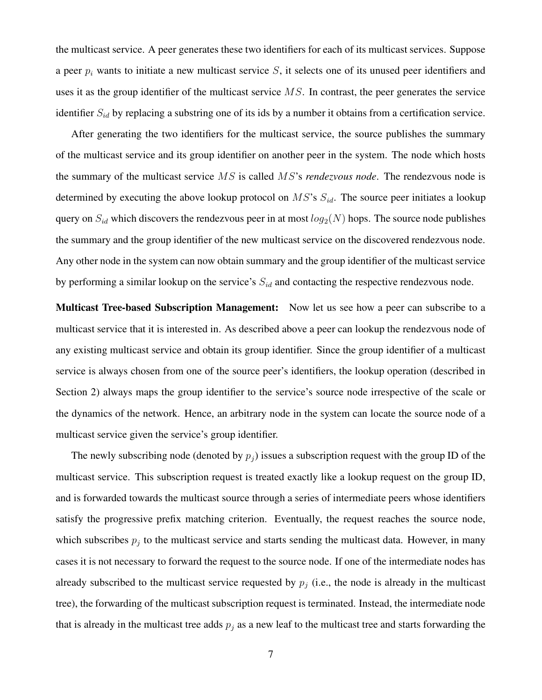the multicast service. A peer generates these two identifiers for each of its multicast services. Suppose a peer  $p_i$  wants to initiate a new multicast service S, it selects one of its unused peer identifiers and uses it as the group identifier of the multicast service  $MS$ . In contrast, the peer generates the service identifier  $S_{id}$  by replacing a substring one of its ids by a number it obtains from a certification service.

After generating the two identifiers for the multicast service, the source publishes the summary of the multicast service and its group identifier on another peer in the system. The node which hosts the summary of the multicast service MS is called MS's *rendezvous node*. The rendezvous node is determined by executing the above lookup protocol on  $MS$ 's  $S_{id}$ . The source peer initiates a lookup query on  $S_{id}$  which discovers the rendezvous peer in at most  $log_2(N)$  hops. The source node publishes the summary and the group identifier of the new multicast service on the discovered rendezvous node. Any other node in the system can now obtain summary and the group identifier of the multicast service by performing a similar lookup on the service's  $S_{id}$  and contacting the respective rendezvous node.

**Multicast Tree-based Subscription Management:** Now let us see how a peer can subscribe to a multicast service that it is interested in. As described above a peer can lookup the rendezvous node of any existing multicast service and obtain its group identifier. Since the group identifier of a multicast service is always chosen from one of the source peer's identifiers, the lookup operation (described in Section 2) always maps the group identifier to the service's source node irrespective of the scale or the dynamics of the network. Hence, an arbitrary node in the system can locate the source node of a multicast service given the service's group identifier.

The newly subscribing node (denoted by  $p_i$ ) issues a subscription request with the group ID of the multicast service. This subscription request is treated exactly like a lookup request on the group ID, and is forwarded towards the multicast source through a series of intermediate peers whose identifiers satisfy the progressive prefix matching criterion. Eventually, the request reaches the source node, which subscribes  $p_j$  to the multicast service and starts sending the multicast data. However, in many cases it is not necessary to forward the request to the source node. If one of the intermediate nodes has already subscribed to the multicast service requested by  $p_j$  (i.e., the node is already in the multicast tree), the forwarding of the multicast subscription request is terminated. Instead, the intermediate node that is already in the multicast tree adds  $p_j$  as a new leaf to the multicast tree and starts forwarding the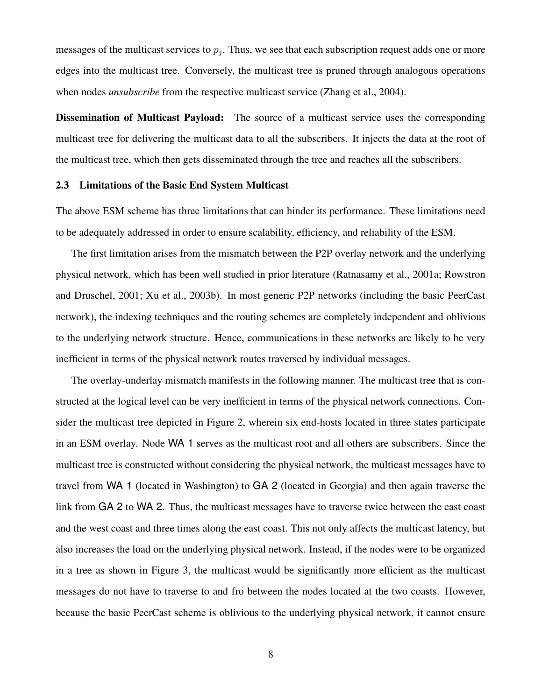messages of the multicast services to  $p_j$ . Thus, we see that each subscription request adds one or more edges into the multicast tree. Conversely, the multicast tree is pruned through analogous operations when nodes *unsubscribe* from the respective multicast service (Zhang et al., 2004).

**Dissemination of Multicast Payload:** The source of a multicast service uses the corresponding multicast tree for delivering the multicast data to all the subscribers. It injects the data at the root of the multicast tree, which then gets disseminated through the tree and reaches all the subscribers.

#### **2.3 Limitations of the Basic End System Multicast**

The above ESM scheme has three limitations that can hinder its performance. These limitations need to be adequately addressed in order to ensure scalability, efficiency, and reliability of the ESM.

The first limitation arises from the mismatch between the P2P overlay network and the underlying physical network, which has been well studied in prior literature (Ratnasamy et al., 2001a; Rowstron and Druschel, 2001; Xu et al., 2003b). In most generic P2P networks (including the basic PeerCast network), the indexing techniques and the routing schemes are completely independent and oblivious to the underlying network structure. Hence, communications in these networks are likely to be very inefficient in terms of the physical network routes traversed by individual messages.

The overlay-underlay mismatch manifests in the following manner. The multicast tree that is constructed at the logical level can be very inefficient in terms of the physical network connections. Consider the multicast tree depicted in Figure 2, wherein six end-hosts located in three states participate in an ESM overlay. Node WA 1 serves as the multicast root and all others are subscribers. Since the multicast tree is constructed without considering the physical network, the multicast messages have to travel from WA 1 (located in Washington) to GA 2 (located in Georgia) and then again traverse the link from GA 2 to WA 2. Thus, the multicast messages have to traverse twice between the east coast and the west coast and three times along the east coast. This not only affects the multicast latency, but also increases the load on the underlying physical network. Instead, if the nodes were to be organized in a tree as shown in Figure 3, the multicast would be significantly more efficient as the multicast messages do not have to traverse to and fro between the nodes located at the two coasts. However, because the basic PeerCast scheme is oblivious to the underlying physical network, it cannot ensure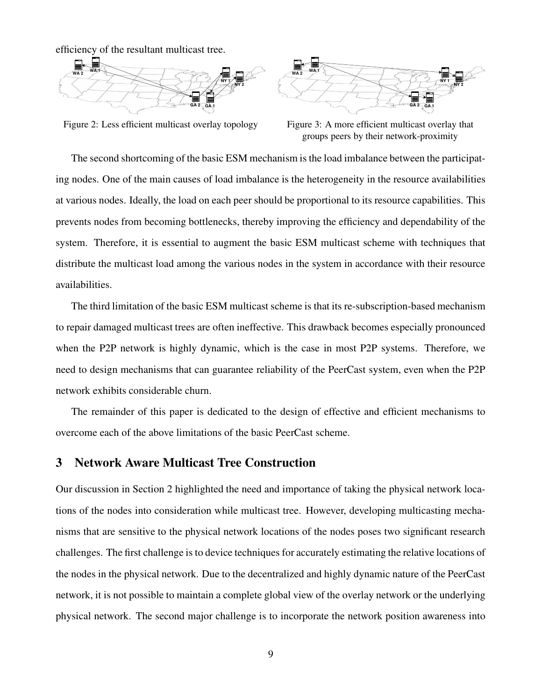

Figure 2: Less efficient multicast overlay topology

Figure 3: A more efficient multicast overlay that groups peers by their network-proximity

The second shortcoming of the basic ESM mechanism isthe load imbalance between the participating nodes. One of the main causes of load imbalance is the heterogeneity in the resource availabilities at various nodes. Ideally, the load on each peer should be proportional to its resource capabilities. This prevents nodes from becoming bottlenecks, thereby improving the efficiency and dependability of the system. Therefore, it is essential to augment the basic ESM multicast scheme with techniques that distribute the multicast load among the various nodes in the system in accordance with their resource availabilities.

The third limitation of the basic ESM multicast scheme is that its re-subscription-based mechanism to repair damaged multicast trees are often ineffective. This drawback becomes especially pronounced when the P2P network is highly dynamic, which is the case in most P2P systems. Therefore, we need to design mechanisms that can guarantee reliability of the PeerCast system, even when the P2P network exhibits considerable churn.

The remainder of this paper is dedicated to the design of effective and efficient mechanisms to overcome each of the above limitations of the basic PeerCast scheme.

## **3 Network Aware Multicast Tree Construction**

Our discussion in Section 2 highlighted the need and importance of taking the physical network locations of the nodes into consideration while multicast tree. However, developing multicasting mechanisms that are sensitive to the physical network locations of the nodes poses two significant research challenges. The first challenge is to device techniques for accurately estimating the relative locations of the nodes in the physical network. Due to the decentralized and highly dynamic nature of the PeerCast network, it is not possible to maintain a complete global view of the overlay network or the underlying physical network. The second major challenge is to incorporate the network position awareness into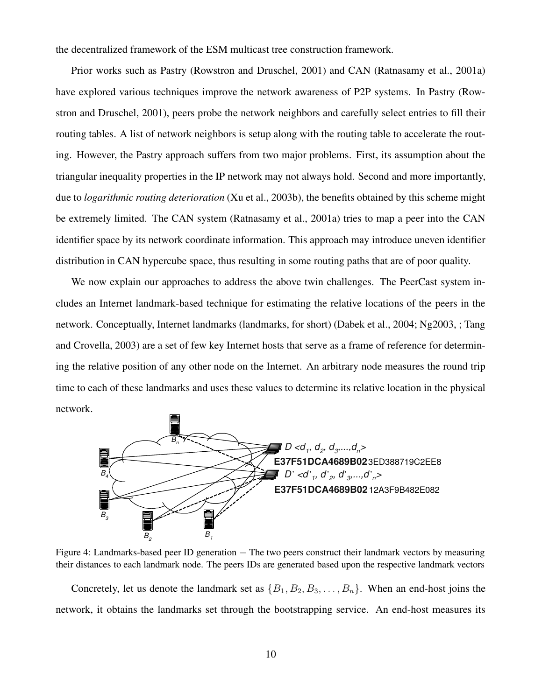the decentralized framework of the ESM multicast tree construction framework.

Prior works such as Pastry (Rowstron and Druschel, 2001) and CAN (Ratnasamy et al., 2001a) have explored various techniques improve the network awareness of P2P systems. In Pastry (Rowstron and Druschel, 2001), peers probe the network neighbors and carefully select entries to fill their routing tables. A list of network neighbors is setup along with the routing table to accelerate the routing. However, the Pastry approach suffers from two major problems. First, its assumption about the triangular inequality properties in the IP network may not always hold. Second and more importantly, due to *logarithmic routing deterioration* (Xu et al., 2003b), the benefits obtained by this scheme might be extremely limited. The CAN system (Ratnasamy et al., 2001a) tries to map a peer into the CAN identifier space by its network coordinate information. This approach may introduce uneven identifier distribution in CAN hypercube space, thus resulting in some routing paths that are of poor quality.

We now explain our approaches to address the above twin challenges. The PeerCast system includes an Internet landmark-based technique for estimating the relative locations of the peers in the network. Conceptually, Internet landmarks (landmarks, for short) (Dabek et al., 2004; Ng2003, ; Tang and Crovella, 2003) are a set of few key Internet hosts that serve as a frame of reference for determining the relative position of any other node on the Internet. An arbitrary node measures the round trip time to each of these landmarks and uses these values to determine its relative location in the physical network.



Figure 4: Landmarks-based peer ID generation − The two peers construct their landmark vectors by measuring their distances to each landmark node. The peers IDs are generated based upon the respective landmark vectors

Concretely, let us denote the landmark set as  $\{B_1, B_2, B_3, \ldots, B_n\}$ . When an end-host joins the network, it obtains the landmarks set through the bootstrapping service. An end-host measures its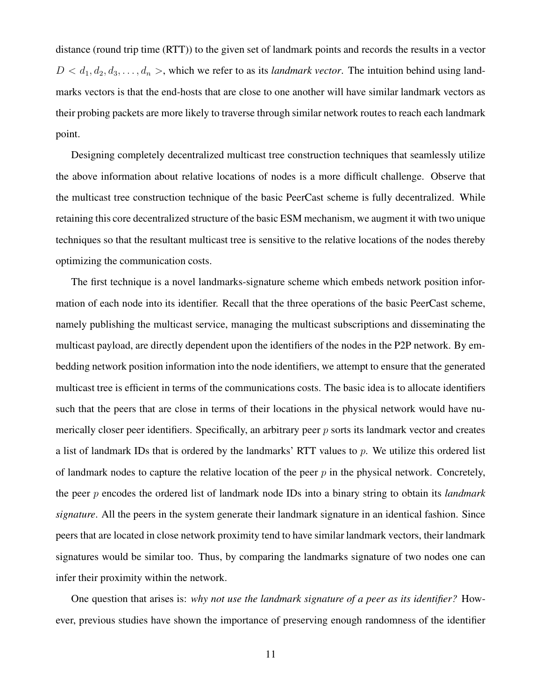distance (round trip time (RTT)) to the given set of landmark points and records the results in a vector  $D < d_1, d_2, d_3, \ldots, d_n >$ , which we refer to as its *landmark vector*. The intuition behind using landmarks vectors is that the end-hosts that are close to one another will have similar landmark vectors as their probing packets are more likely to traverse through similar network routes to reach each landmark point.

Designing completely decentralized multicast tree construction techniques that seamlessly utilize the above information about relative locations of nodes is a more difficult challenge. Observe that the multicast tree construction technique of the basic PeerCast scheme is fully decentralized. While retaining this core decentralized structure of the basic ESM mechanism, we augment it with two unique techniques so that the resultant multicast tree is sensitive to the relative locations of the nodes thereby optimizing the communication costs.

The first technique is a novel landmarks-signature scheme which embeds network position information of each node into its identifier. Recall that the three operations of the basic PeerCast scheme, namely publishing the multicast service, managing the multicast subscriptions and disseminating the multicast payload, are directly dependent upon the identifiers of the nodes in the P2P network. By embedding network position information into the node identifiers, we attempt to ensure that the generated multicast tree is efficient in terms of the communications costs. The basic idea is to allocate identifiers such that the peers that are close in terms of their locations in the physical network would have numerically closer peer identifiers. Specifically, an arbitrary peer  $p$  sorts its landmark vector and creates a list of landmark IDs that is ordered by the landmarks' RTT values to  $p$ . We utilize this ordered list of landmark nodes to capture the relative location of the peer  $p$  in the physical network. Concretely, the peer p encodes the ordered list of landmark node IDs into a binary string to obtain its *landmark signature*. All the peers in the system generate their landmark signature in an identical fashion. Since peers that are located in close network proximity tend to have similar landmark vectors, their landmark signatures would be similar too. Thus, by comparing the landmarks signature of two nodes one can infer their proximity within the network.

One question that arises is: *why not use the landmark signature of a peer as its identifier?* However, previous studies have shown the importance of preserving enough randomness of the identifier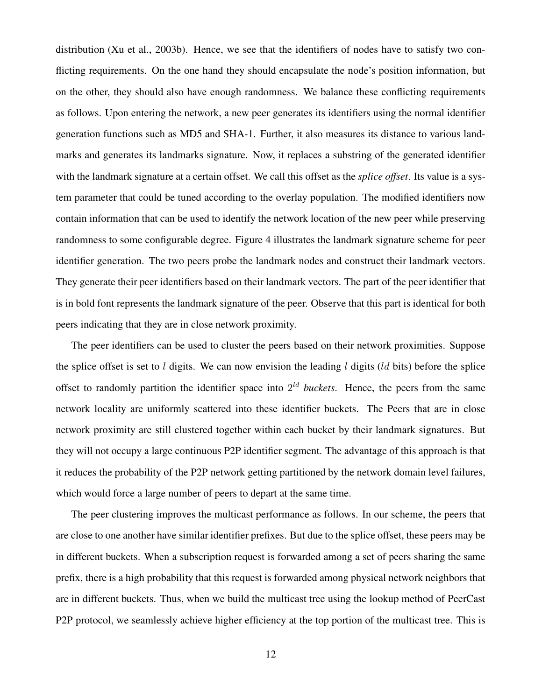distribution (Xu et al., 2003b). Hence, we see that the identifiers of nodes have to satisfy two conflicting requirements. On the one hand they should encapsulate the node's position information, but on the other, they should also have enough randomness. We balance these conflicting requirements as follows. Upon entering the network, a new peer generates its identifiers using the normal identifier generation functions such as MD5 and SHA-1. Further, it also measures its distance to various landmarks and generates its landmarks signature. Now, it replaces a substring of the generated identifier with the landmark signature at a certain offset. We call this offset as the *splice offset*. Its value is a system parameter that could be tuned according to the overlay population. The modified identifiers now contain information that can be used to identify the network location of the new peer while preserving randomness to some configurable degree. Figure 4 illustrates the landmark signature scheme for peer identifier generation. The two peers probe the landmark nodes and construct their landmark vectors. They generate their peer identifiers based on their landmark vectors. The part of the peer identifier that is in bold font represents the landmark signature of the peer. Observe that this part is identical for both peers indicating that they are in close network proximity.

The peer identifiers can be used to cluster the peers based on their network proximities. Suppose the splice offset is set to l digits. We can now envision the leading l digits (ld bits) before the splice offset to randomly partition the identifier space into  $2<sup>ld</sup>$  *buckets*. Hence, the peers from the same network locality are uniformly scattered into these identifier buckets. The Peers that are in close network proximity are still clustered together within each bucket by their landmark signatures. But they will not occupy a large continuous P2P identifier segment. The advantage of this approach is that it reduces the probability of the P2P network getting partitioned by the network domain level failures, which would force a large number of peers to depart at the same time.

The peer clustering improves the multicast performance as follows. In our scheme, the peers that are close to one another have similar identifier prefixes. But due to the splice offset, these peers may be in different buckets. When a subscription request is forwarded among a set of peers sharing the same prefix, there is a high probability that this request is forwarded among physical network neighbors that are in different buckets. Thus, when we build the multicast tree using the lookup method of PeerCast P2P protocol, we seamlessly achieve higher efficiency at the top portion of the multicast tree. This is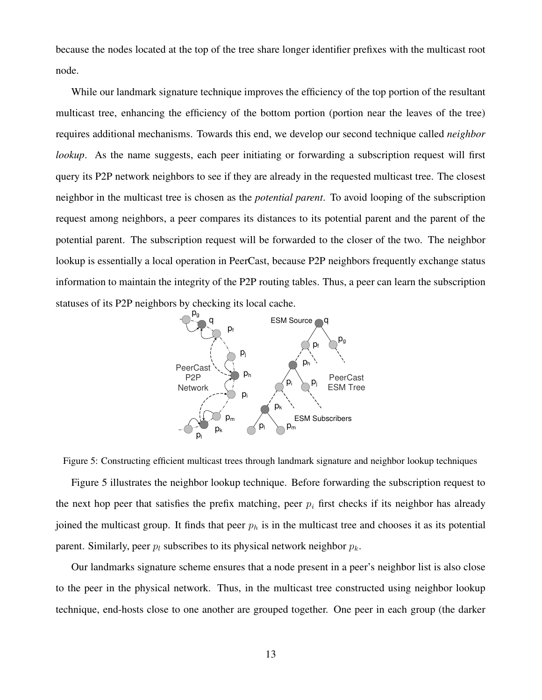because the nodes located at the top of the tree share longer identifier prefixes with the multicast root node.

While our landmark signature technique improves the efficiency of the top portion of the resultant multicast tree, enhancing the efficiency of the bottom portion (portion near the leaves of the tree) requires additional mechanisms. Towards this end, we develop our second technique called *neighbor lookup*. As the name suggests, each peer initiating or forwarding a subscription request will first query its P2P network neighbors to see if they are already in the requested multicast tree. The closest neighbor in the multicast tree is chosen as the *potential parent*. To avoid looping of the subscription request among neighbors, a peer compares its distances to its potential parent and the parent of the potential parent. The subscription request will be forwarded to the closer of the two. The neighbor lookup is essentially a local operation in PeerCast, because P2P neighbors frequently exchange status information to maintain the integrity of the P2P routing tables. Thus, a peer can learn the subscription statuses of its P2P neighbors by checking its local cache.



Figure 5: Constructing efficient multicast trees through landmark signature and neighbor lookup techniques

Figure 5 illustrates the neighbor lookup technique. Before forwarding the subscription request to the next hop peer that satisfies the prefix matching, peer  $p_i$  first checks if its neighbor has already joined the multicast group. It finds that peer  $p_h$  is in the multicast tree and chooses it as its potential parent. Similarly, peer  $p_l$  subscribes to its physical network neighbor  $p_k$ .

Our landmarks signature scheme ensures that a node present in a peer's neighbor list is also close to the peer in the physical network. Thus, in the multicast tree constructed using neighbor lookup technique, end-hosts close to one another are grouped together. One peer in each group (the darker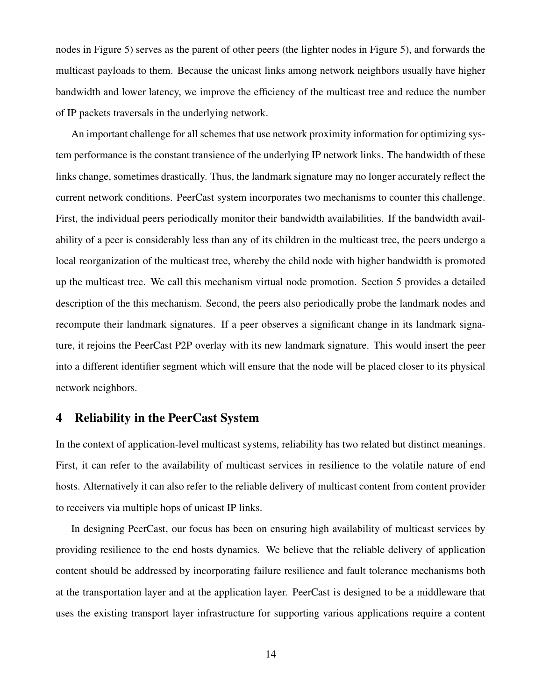nodes in Figure 5) serves as the parent of other peers (the lighter nodes in Figure 5), and forwards the multicast payloads to them. Because the unicast links among network neighbors usually have higher bandwidth and lower latency, we improve the efficiency of the multicast tree and reduce the number of IP packets traversals in the underlying network.

An important challenge for all schemes that use network proximity information for optimizing system performance is the constant transience of the underlying IP network links. The bandwidth of these links change, sometimes drastically. Thus, the landmark signature may no longer accurately reflect the current network conditions. PeerCast system incorporates two mechanisms to counter this challenge. First, the individual peers periodically monitor their bandwidth availabilities. If the bandwidth availability of a peer is considerably less than any of its children in the multicast tree, the peers undergo a local reorganization of the multicast tree, whereby the child node with higher bandwidth is promoted up the multicast tree. We call this mechanism virtual node promotion. Section 5 provides a detailed description of the this mechanism. Second, the peers also periodically probe the landmark nodes and recompute their landmark signatures. If a peer observes a significant change in its landmark signature, it rejoins the PeerCast P2P overlay with its new landmark signature. This would insert the peer into a different identifier segment which will ensure that the node will be placed closer to its physical network neighbors.

## **4 Reliability in the PeerCast System**

In the context of application-level multicast systems, reliability has two related but distinct meanings. First, it can refer to the availability of multicast services in resilience to the volatile nature of end hosts. Alternatively it can also refer to the reliable delivery of multicast content from content provider to receivers via multiple hops of unicast IP links.

In designing PeerCast, our focus has been on ensuring high availability of multicast services by providing resilience to the end hosts dynamics. We believe that the reliable delivery of application content should be addressed by incorporating failure resilience and fault tolerance mechanisms both at the transportation layer and at the application layer. PeerCast is designed to be a middleware that uses the existing transport layer infrastructure for supporting various applications require a content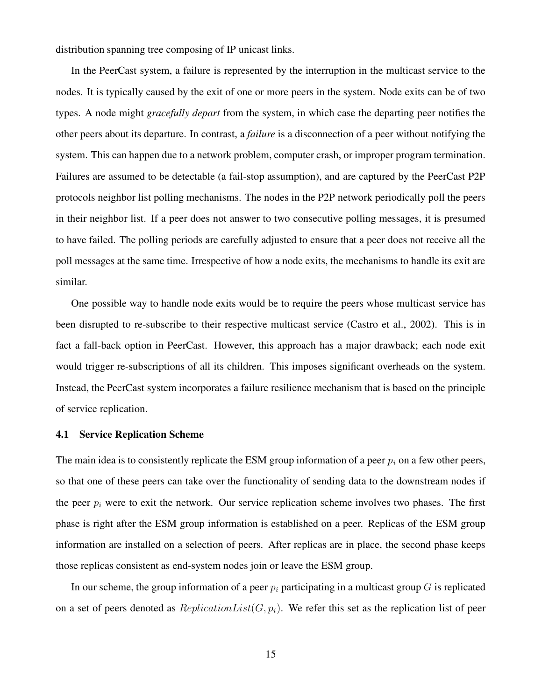distribution spanning tree composing of IP unicast links.

In the PeerCast system, a failure is represented by the interruption in the multicast service to the nodes. It is typically caused by the exit of one or more peers in the system. Node exits can be of two types. A node might *gracefully depart* from the system, in which case the departing peer notifies the other peers about its departure. In contrast, a *failure* is a disconnection of a peer without notifying the system. This can happen due to a network problem, computer crash, or improper program termination. Failures are assumed to be detectable (a fail-stop assumption), and are captured by the PeerCast P2P protocols neighbor list polling mechanisms. The nodes in the P2P network periodically poll the peers in their neighbor list. If a peer does not answer to two consecutive polling messages, it is presumed to have failed. The polling periods are carefully adjusted to ensure that a peer does not receive all the poll messages at the same time. Irrespective of how a node exits, the mechanisms to handle its exit are similar.

One possible way to handle node exits would be to require the peers whose multicast service has been disrupted to re-subscribe to their respective multicast service (Castro et al., 2002). This is in fact a fall-back option in PeerCast. However, this approach has a major drawback; each node exit would trigger re-subscriptions of all its children. This imposes significant overheads on the system. Instead, the PeerCast system incorporates a failure resilience mechanism that is based on the principle of service replication.

#### **4.1 Service Replication Scheme**

The main idea is to consistently replicate the ESM group information of a peer  $p_i$  on a few other peers, so that one of these peers can take over the functionality of sending data to the downstream nodes if the peer  $p_i$  were to exit the network. Our service replication scheme involves two phases. The first phase is right after the ESM group information is established on a peer. Replicas of the ESM group information are installed on a selection of peers. After replicas are in place, the second phase keeps those replicas consistent as end-system nodes join or leave the ESM group.

In our scheme, the group information of a peer  $p_i$  participating in a multicast group G is replicated on a set of peers denoted as  $ReplicationList(G, p_i)$ . We refer this set as the replication list of peer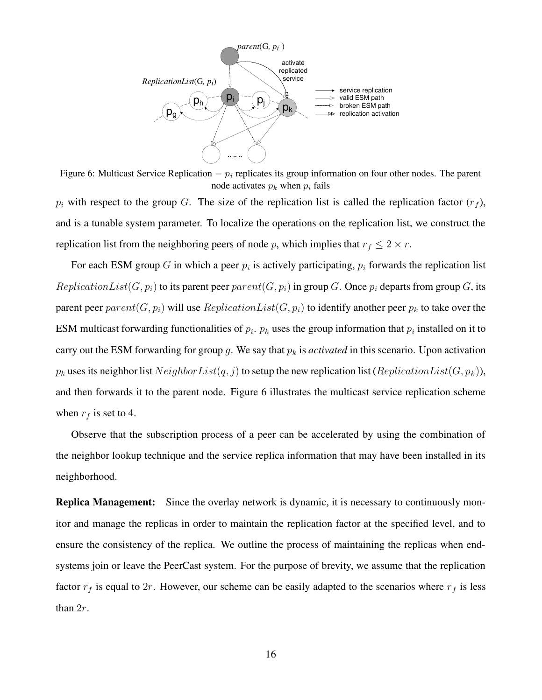

Figure 6: Multicast Service Replication  $-p_i$  replicates its group information on four other nodes. The parent node activates  $p_k$  when  $p_i$  fails

 $p_i$  with respect to the group G. The size of the replication list is called the replication factor  $(r_f)$ , and is a tunable system parameter. To localize the operations on the replication list, we construct the replication list from the neighboring peers of node p, which implies that  $r_f \leq 2 \times r$ .

For each ESM group G in which a peer  $p_i$  is actively participating,  $p_i$  forwards the replication list  $ReplicationList(G, p_i)$  to its parent peer  $parent(G, p_i)$  in group G. Once  $p_i$  departs from group G, its parent peer  $parent(G, p_i)$  will use  $ReplicationList(G, p_i)$  to identify another peer  $p_k$  to take over the ESM multicast forwarding functionalities of  $p_i$ .  $p_k$  uses the group information that  $p_i$  installed on it to carry out the ESM forwarding for group q. We say that  $p_k$  is *activated* in this scenario. Upon activation  $p_k$  uses its neighbor list  $NeighbourList(q, j)$  to setup the new replication list ( $ReplicationList(G, p_k)$ ), and then forwards it to the parent node. Figure 6 illustrates the multicast service replication scheme when  $r_f$  is set to 4.

Observe that the subscription process of a peer can be accelerated by using the combination of the neighbor lookup technique and the service replica information that may have been installed in its neighborhood.

**Replica Management:** Since the overlay network is dynamic, it is necessary to continuously monitor and manage the replicas in order to maintain the replication factor at the specified level, and to ensure the consistency of the replica. We outline the process of maintaining the replicas when endsystems join or leave the PeerCast system. For the purpose of brevity, we assume that the replication factor  $r_f$  is equal to 2r. However, our scheme can be easily adapted to the scenarios where  $r_f$  is less than 2r.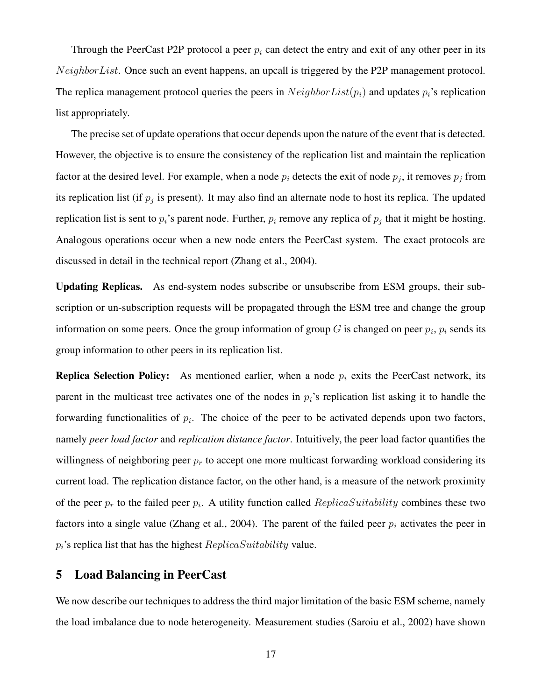Through the PeerCast P2P protocol a peer  $p_i$  can detect the entry and exit of any other peer in its NeighborList. Once such an event happens, an upcall is triggered by the P2P management protocol. The replica management protocol queries the peers in  $NeighbourList(p_i)$  and updates  $p_i$ 's replication list appropriately.

The precise set of update operations that occur depends upon the nature of the event that is detected. However, the objective is to ensure the consistency of the replication list and maintain the replication factor at the desired level. For example, when a node  $p_i$  detects the exit of node  $p_j$ , it removes  $p_j$  from its replication list (if  $p_j$  is present). It may also find an alternate node to host its replica. The updated replication list is sent to  $p_i$ 's parent node. Further,  $p_i$  remove any replica of  $p_j$  that it might be hosting. Analogous operations occur when a new node enters the PeerCast system. The exact protocols are discussed in detail in the technical report (Zhang et al., 2004).

**Updating Replicas.** As end-system nodes subscribe or unsubscribe from ESM groups, their subscription or un-subscription requests will be propagated through the ESM tree and change the group information on some peers. Once the group information of group G is changed on peer  $p_i$ ,  $p_i$  sends its group information to other peers in its replication list.

**Replica Selection Policy:** As mentioned earlier, when a node  $p_i$  exits the PeerCast network, its parent in the multicast tree activates one of the nodes in  $p_i$ 's replication list asking it to handle the forwarding functionalities of  $p_i$ . The choice of the peer to be activated depends upon two factors, namely *peer load factor* and *replication distance factor*. Intuitively, the peer load factor quantifies the willingness of neighboring peer  $p_r$  to accept one more multicast forwarding workload considering its current load. The replication distance factor, on the other hand, is a measure of the network proximity of the peer  $p_r$  to the failed peer  $p_i$ . A utility function called  $ReplicaSuitability$  combines these two factors into a single value (Zhang et al., 2004). The parent of the failed peer  $p_i$  activates the peer in  $p_i$ 's replica list that has the highest  $ReplicaSuitability$  value.

## **5 Load Balancing in PeerCast**

We now describe our techniques to address the third major limitation of the basic ESM scheme, namely the load imbalance due to node heterogeneity. Measurement studies (Saroiu et al., 2002) have shown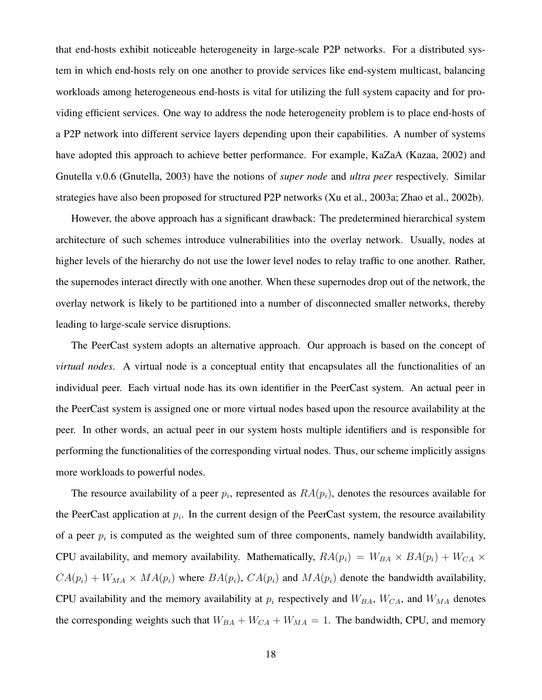that end-hosts exhibit noticeable heterogeneity in large-scale P2P networks. For a distributed system in which end-hosts rely on one another to provide services like end-system multicast, balancing workloads among heterogeneous end-hosts is vital for utilizing the full system capacity and for providing efficient services. One way to address the node heterogeneity problem is to place end-hosts of a P2P network into different service layers depending upon their capabilities. A number of systems have adopted this approach to achieve better performance. For example, KaZaA (Kazaa, 2002) and Gnutella v.0.6 (Gnutella, 2003) have the notions of *super node* and *ultra peer* respectively. Similar strategies have also been proposed for structured P2P networks (Xu et al., 2003a; Zhao et al., 2002b).

However, the above approach has a significant drawback: The predetermined hierarchical system architecture of such schemes introduce vulnerabilities into the overlay network. Usually, nodes at higher levels of the hierarchy do not use the lower level nodes to relay traffic to one another. Rather, the supernodes interact directly with one another. When these supernodes drop out of the network, the overlay network is likely to be partitioned into a number of disconnected smaller networks, thereby leading to large-scale service disruptions.

The PeerCast system adopts an alternative approach. Our approach is based on the concept of *virtual nodes*. A virtual node is a conceptual entity that encapsulates all the functionalities of an individual peer. Each virtual node has its own identifier in the PeerCast system. An actual peer in the PeerCast system is assigned one or more virtual nodes based upon the resource availability at the peer. In other words, an actual peer in our system hosts multiple identifiers and is responsible for performing the functionalities of the corresponding virtual nodes. Thus, our scheme implicitly assigns more workloads to powerful nodes.

The resource availability of a peer  $p_i$ , represented as  $RA(p_i)$ , denotes the resources available for the PeerCast application at  $p_i$ . In the current design of the PeerCast system, the resource availability of a peer  $p_i$  is computed as the weighted sum of three components, namely bandwidth availability, CPU availability, and memory availability. Mathematically,  $RA(p_i) = W_{BA} \times BA(p_i) + W_{CA} \times$  $CA(p_i) + W_{MA} \times MA(p_i)$  where  $BA(p_i)$ ,  $CA(p_i)$  and  $MA(p_i)$  denote the bandwidth availability, CPU availability and the memory availability at  $p_i$  respectively and  $W_{BA}$ ,  $W_{CA}$ , and  $W_{MA}$  denotes the corresponding weights such that  $W_{BA} + W_{CA} + W_{MA} = 1$ . The bandwidth, CPU, and memory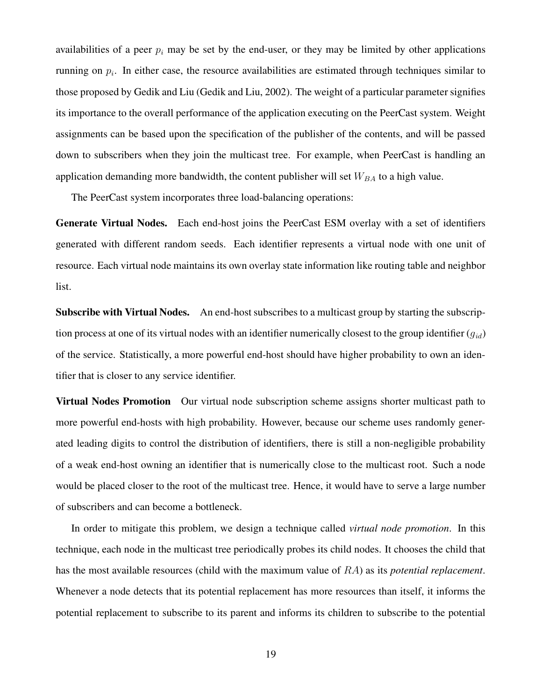availabilities of a peer  $p_i$  may be set by the end-user, or they may be limited by other applications running on  $p_i$ . In either case, the resource availabilities are estimated through techniques similar to those proposed by Gedik and Liu (Gedik and Liu, 2002). The weight of a particular parameter signifies its importance to the overall performance of the application executing on the PeerCast system. Weight assignments can be based upon the specification of the publisher of the contents, and will be passed down to subscribers when they join the multicast tree. For example, when PeerCast is handling an application demanding more bandwidth, the content publisher will set  $W_{BA}$  to a high value.

The PeerCast system incorporates three load-balancing operations:

**Generate Virtual Nodes.** Each end-host joins the PeerCast ESM overlay with a set of identifiers generated with different random seeds. Each identifier represents a virtual node with one unit of resource. Each virtual node maintains its own overlay state information like routing table and neighbor list.

**Subscribe with Virtual Nodes.** An end-host subscribes to a multicast group by starting the subscription process at one of its virtual nodes with an identifier numerically closest to the group identifier  $(g_{id})$ of the service. Statistically, a more powerful end-host should have higher probability to own an identifier that is closer to any service identifier.

**Virtual Nodes Promotion** Our virtual node subscription scheme assigns shorter multicast path to more powerful end-hosts with high probability. However, because our scheme uses randomly generated leading digits to control the distribution of identifiers, there is still a non-negligible probability of a weak end-host owning an identifier that is numerically close to the multicast root. Such a node would be placed closer to the root of the multicast tree. Hence, it would have to serve a large number of subscribers and can become a bottleneck.

In order to mitigate this problem, we design a technique called *virtual node promotion*. In this technique, each node in the multicast tree periodically probes its child nodes. It chooses the child that has the most available resources (child with the maximum value of RA) as its *potential replacement*. Whenever a node detects that its potential replacement has more resources than itself, it informs the potential replacement to subscribe to its parent and informs its children to subscribe to the potential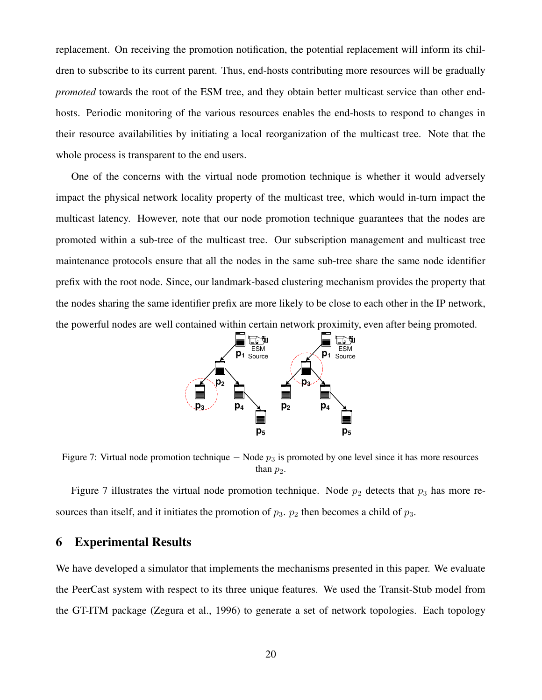replacement. On receiving the promotion notification, the potential replacement will inform its children to subscribe to its current parent. Thus, end-hosts contributing more resources will be gradually *promoted* towards the root of the ESM tree, and they obtain better multicast service than other endhosts. Periodic monitoring of the various resources enables the end-hosts to respond to changes in their resource availabilities by initiating a local reorganization of the multicast tree. Note that the whole process is transparent to the end users.

One of the concerns with the virtual node promotion technique is whether it would adversely impact the physical network locality property of the multicast tree, which would in-turn impact the multicast latency. However, note that our node promotion technique guarantees that the nodes are promoted within a sub-tree of the multicast tree. Our subscription management and multicast tree maintenance protocols ensure that all the nodes in the same sub-tree share the same node identifier prefix with the root node. Since, our landmark-based clustering mechanism provides the property that the nodes sharing the same identifier prefix are more likely to be close to each other in the IP network, the powerful nodes are well contained within certain network proximity, even after being promoted.



Figure 7: Virtual node promotion technique – Node  $p_3$  is promoted by one level since it has more resources than  $p_2$ .

Figure 7 illustrates the virtual node promotion technique. Node  $p_2$  detects that  $p_3$  has more resources than itself, and it initiates the promotion of  $p_3$ .  $p_2$  then becomes a child of  $p_3$ .

## **6 Experimental Results**

We have developed a simulator that implements the mechanisms presented in this paper. We evaluate the PeerCast system with respect to its three unique features. We used the Transit-Stub model from the GT-ITM package (Zegura et al., 1996) to generate a set of network topologies. Each topology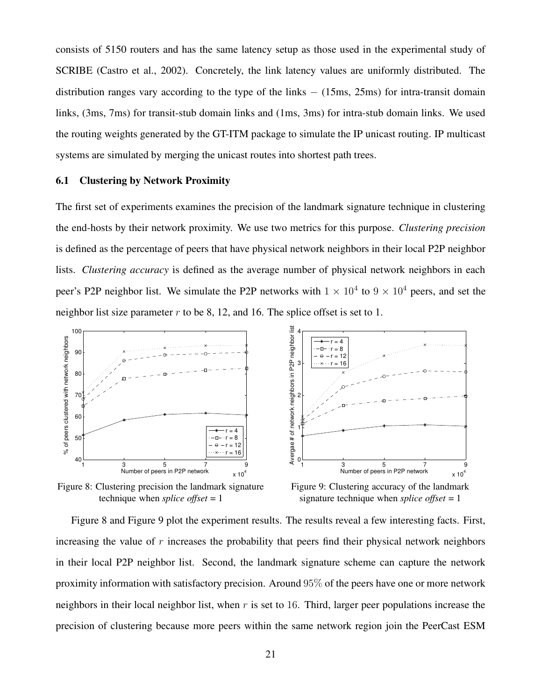consists of 5150 routers and has the same latency setup as those used in the experimental study of SCRIBE (Castro et al., 2002). Concretely, the link latency values are uniformly distributed. The distribution ranges vary according to the type of the links  $-$  (15ms, 25ms) for intra-transit domain links, (3ms, 7ms) for transit-stub domain links and (1ms, 3ms) for intra-stub domain links. We used the routing weights generated by the GT-ITM package to simulate the IP unicast routing. IP multicast systems are simulated by merging the unicast routes into shortest path trees.

### **6.1 Clustering by Network Proximity**

The first set of experiments examines the precision of the landmark signature technique in clustering the end-hosts by their network proximity. We use two metrics for this purpose. *Clustering precision* is defined as the percentage of peers that have physical network neighbors in their local P2P neighbor lists. *Clustering accuracy* is defined as the average number of physical network neighbors in each peer's P2P neighbor list. We simulate the P2P networks with  $1 \times 10^4$  to  $9 \times 10^4$  peers, and set the neighbor list size parameter r to be 8, 12, and 16. The splice offset is set to 1.



Figure 8: Clustering precision the landmark signature technique when *splice offset* = 1

Figure 9: Clustering accuracy of the landmark signature technique when *splice offset* = 1

 $\times 10^4$ 

Figure 8 and Figure 9 plot the experiment results. The results reveal a few interesting facts. First, increasing the value of  $r$  increases the probability that peers find their physical network neighbors in their local P2P neighbor list. Second, the landmark signature scheme can capture the network proximity information with satisfactory precision. Around 95% of the peers have one or more network neighbors in their local neighbor list, when  $r$  is set to 16. Third, larger peer populations increase the precision of clustering because more peers within the same network region join the PeerCast ESM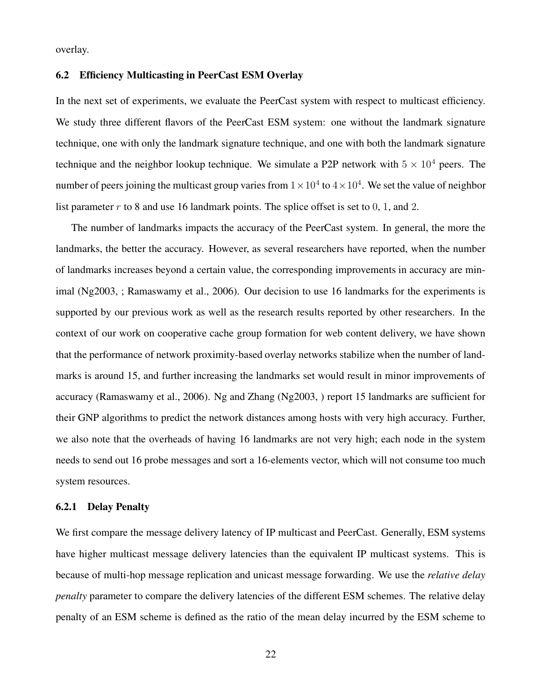overlay.

#### **6.2 Efficiency Multicasting in PeerCast ESM Overlay**

In the next set of experiments, we evaluate the PeerCast system with respect to multicast efficiency. We study three different flavors of the PeerCast ESM system: one without the landmark signature technique, one with only the landmark signature technique, and one with both the landmark signature technique and the neighbor lookup technique. We simulate a P2P network with  $5 \times 10^4$  peers. The number of peers joining the multicast group varies from  $1 \times 10^4$  to  $4 \times 10^4$ . We set the value of neighbor list parameter r to 8 and use 16 landmark points. The splice offset is set to 0, 1, and 2.

The number of landmarks impacts the accuracy of the PeerCast system. In general, the more the landmarks, the better the accuracy. However, as several researchers have reported, when the number of landmarks increases beyond a certain value, the corresponding improvements in accuracy are minimal (Ng2003, ; Ramaswamy et al., 2006). Our decision to use 16 landmarks for the experiments is supported by our previous work as well as the research results reported by other researchers. In the context of our work on cooperative cache group formation for web content delivery, we have shown that the performance of network proximity-based overlay networks stabilize when the number of landmarks is around 15, and further increasing the landmarks set would result in minor improvements of accuracy (Ramaswamy et al., 2006). Ng and Zhang (Ng2003, ) report 15 landmarks are sufficient for their GNP algorithms to predict the network distances among hosts with very high accuracy. Further, we also note that the overheads of having 16 landmarks are not very high; each node in the system needs to send out 16 probe messages and sort a 16-elements vector, which will not consume too much system resources.

#### **6.2.1 Delay Penalty**

We first compare the message delivery latency of IP multicast and PeerCast. Generally, ESM systems have higher multicast message delivery latencies than the equivalent IP multicast systems. This is because of multi-hop message replication and unicast message forwarding. We use the *relative delay penalty* parameter to compare the delivery latencies of the different ESM schemes. The relative delay penalty of an ESM scheme is defined as the ratio of the mean delay incurred by the ESM scheme to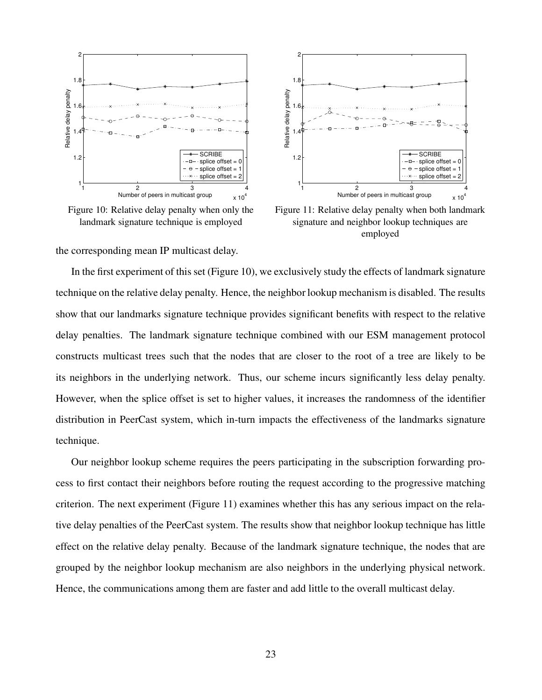

Figure 10: Relative delay penalty when only the landmark signature technique is employed

the corresponding mean IP multicast delay.



Figure 11: Relative delay penalty when both landmark signature and neighbor lookup techniques are employed

In the first experiment of this set (Figure 10), we exclusively study the effects of landmark signature technique on the relative delay penalty. Hence, the neighbor lookup mechanism is disabled. The results show that our landmarks signature technique provides significant benefits with respect to the relative delay penalties. The landmark signature technique combined with our ESM management protocol constructs multicast trees such that the nodes that are closer to the root of a tree are likely to be its neighbors in the underlying network. Thus, our scheme incurs significantly less delay penalty. However, when the splice offset is set to higher values, it increases the randomness of the identifier distribution in PeerCast system, which in-turn impacts the effectiveness of the landmarks signature technique.

Our neighbor lookup scheme requires the peers participating in the subscription forwarding process to first contact their neighbors before routing the request according to the progressive matching criterion. The next experiment (Figure 11) examines whether this has any serious impact on the relative delay penalties of the PeerCast system. The results show that neighbor lookup technique has little effect on the relative delay penalty. Because of the landmark signature technique, the nodes that are grouped by the neighbor lookup mechanism are also neighbors in the underlying physical network. Hence, the communications among them are faster and add little to the overall multicast delay.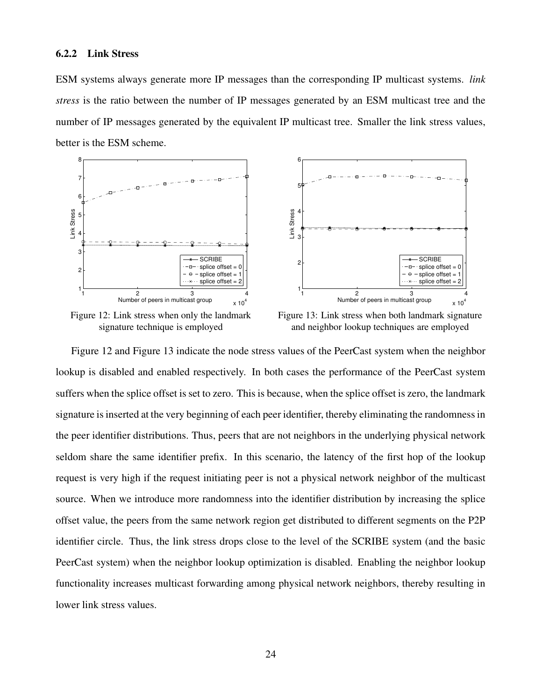#### **6.2.2 Link Stress**

ESM systems always generate more IP messages than the corresponding IP multicast systems. *link stress* is the ratio between the number of IP messages generated by an ESM multicast tree and the number of IP messages generated by the equivalent IP multicast tree. Smaller the link stress values, better is the ESM scheme.



Figure 12: Link stress when only the landmark signature technique is employed



Figure 12 and Figure 13 indicate the node stress values of the PeerCast system when the neighbor lookup is disabled and enabled respectively. In both cases the performance of the PeerCast system suffers when the splice offset is set to zero. This is because, when the splice offset is zero, the landmark signature is inserted at the very beginning of each peer identifier, thereby eliminating the randomness in the peer identifier distributions. Thus, peers that are not neighbors in the underlying physical network seldom share the same identifier prefix. In this scenario, the latency of the first hop of the lookup request is very high if the request initiating peer is not a physical network neighbor of the multicast source. When we introduce more randomness into the identifier distribution by increasing the splice offset value, the peers from the same network region get distributed to different segments on the P2P identifier circle. Thus, the link stress drops close to the level of the SCRIBE system (and the basic PeerCast system) when the neighbor lookup optimization is disabled. Enabling the neighbor lookup functionality increases multicast forwarding among physical network neighbors, thereby resulting in lower link stress values.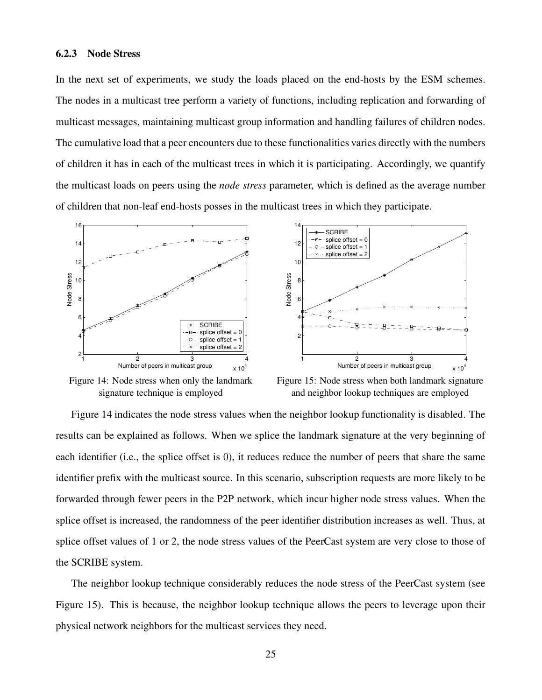#### **6.2.3 Node Stress**

In the next set of experiments, we study the loads placed on the end-hosts by the ESM schemes. The nodes in a multicast tree perform a variety of functions, including replication and forwarding of multicast messages, maintaining multicast group information and handling failures of children nodes. The cumulative load that a peer encounters due to these functionalities varies directly with the numbers of children it has in each of the multicast trees in which it is participating. Accordingly, we quantify the multicast loads on peers using the *node stress* parameter, which is defined as the average number of children that non-leaf end-hosts posses in the multicast trees in which they participate.



14 **SCRIBE**  $-\Box$  splice offset = 0 12  $\Theta$  $-$  splice offset = 1 splice offset = 10 Node Stress Node Stress 8 6 4 2 1 2 3 4 Number of peers in multicast group  $\times$  10<sup>4</sup>

Figure 14: Node stress when only the landmark signature technique is employed

Figure 15: Node stress when both landmark signature and neighbor lookup techniques are employed

Figure 14 indicates the node stress values when the neighbor lookup functionality is disabled. The results can be explained as follows. When we splice the landmark signature at the very beginning of each identifier (i.e., the splice offset is 0), it reduces reduce the number of peers that share the same identifier prefix with the multicast source. In this scenario, subscription requests are more likely to be forwarded through fewer peers in the P2P network, which incur higher node stress values. When the splice offset is increased, the randomness of the peer identifier distribution increases as well. Thus, at splice offset values of 1 or 2, the node stress values of the PeerCast system are very close to those of the SCRIBE system.

The neighbor lookup technique considerably reduces the node stress of the PeerCast system (see Figure 15). This is because, the neighbor lookup technique allows the peers to leverage upon their physical network neighbors for the multicast services they need.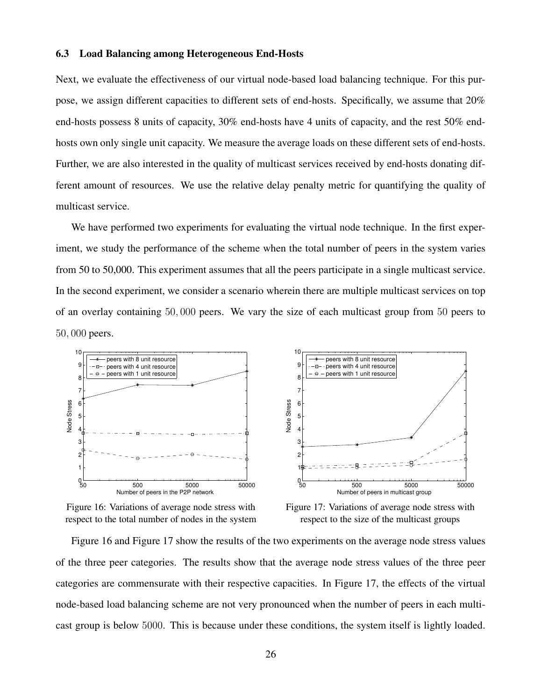#### **6.3 Load Balancing among Heterogeneous End-Hosts**

Next, we evaluate the effectiveness of our virtual node-based load balancing technique. For this purpose, we assign different capacities to different sets of end-hosts. Specifically, we assume that 20% end-hosts possess 8 units of capacity, 30% end-hosts have 4 units of capacity, and the rest 50% endhosts own only single unit capacity. We measure the average loads on these different sets of end-hosts. Further, we are also interested in the quality of multicast services received by end-hosts donating different amount of resources. We use the relative delay penalty metric for quantifying the quality of multicast service.

We have performed two experiments for evaluating the virtual node technique. In the first experiment, we study the performance of the scheme when the total number of peers in the system varies from 50 to 50,000. This experiment assumes that all the peers participate in a single multicast service. In the second experiment, we consider a scenario wherein there are multiple multicast services on top of an overlay containing 50, 000 peers. We vary the size of each multicast group from 50 peers to 50, 000 peers.



Figure 16: Variations of average node stress with respect to the total number of nodes in the system



Figure 17: Variations of average node stress with respect to the size of the multicast groups

Figure 16 and Figure 17 show the results of the two experiments on the average node stress values of the three peer categories. The results show that the average node stress values of the three peer categories are commensurate with their respective capacities. In Figure 17, the effects of the virtual node-based load balancing scheme are not very pronounced when the number of peers in each multicast group is below 5000. This is because under these conditions, the system itself is lightly loaded.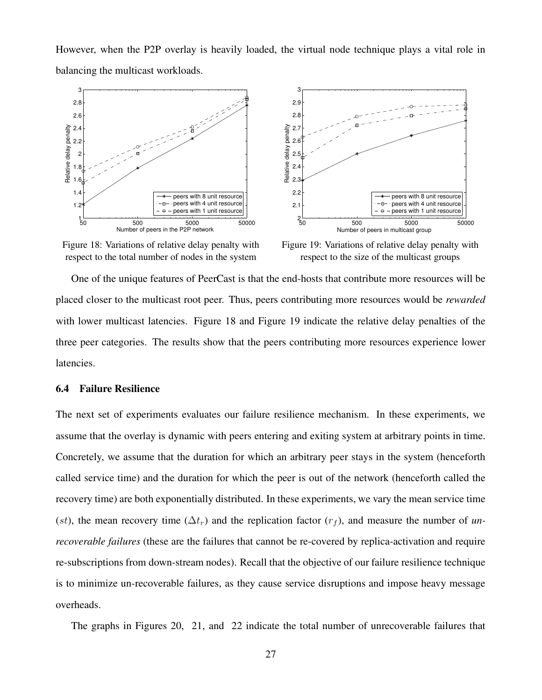However, when the P2P overlay is heavily loaded, the virtual node technique plays a vital role in balancing the multicast workloads.



Figure 18: Variations of relative delay penalty with respect to the total number of nodes in the system



Figure 19: Variations of relative delay penalty with respect to the size of the multicast groups

One of the unique features of PeerCast is that the end-hosts that contribute more resources will be placed closer to the multicast root peer. Thus, peers contributing more resources would be *rewarded* with lower multicast latencies. Figure 18 and Figure 19 indicate the relative delay penalties of the three peer categories. The results show that the peers contributing more resources experience lower latencies.

#### **6.4 Failure Resilience**

The next set of experiments evaluates our failure resilience mechanism. In these experiments, we assume that the overlay is dynamic with peers entering and exiting system at arbitrary points in time. Concretely, we assume that the duration for which an arbitrary peer stays in the system (henceforth called service time) and the duration for which the peer is out of the network (henceforth called the recovery time) are both exponentially distributed. In these experiments, we vary the mean service time (st), the mean recovery time  $(\Delta t_r)$  and the replication factor  $(r_f)$ , and measure the number of *unrecoverable failures* (these are the failures that cannot be re-covered by replica-activation and require re-subscriptions from down-stream nodes). Recall that the objective of our failure resilience technique is to minimize un-recoverable failures, as they cause service disruptions and impose heavy message overheads.

The graphs in Figures 20, 21, and 22 indicate the total number of unrecoverable failures that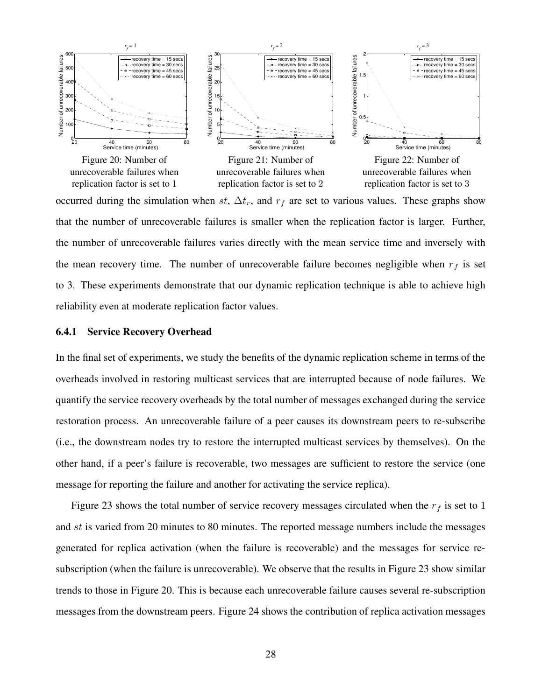

occurred during the simulation when st,  $\Delta t_r$ , and  $r_f$  are set to various values. These graphs show that the number of unrecoverable failures is smaller when the replication factor is larger. Further, the number of unrecoverable failures varies directly with the mean service time and inversely with the mean recovery time. The number of unrecoverable failure becomes negligible when  $r_f$  is set to 3. These experiments demonstrate that our dynamic replication technique is able to achieve high reliability even at moderate replication factor values.

#### **6.4.1 Service Recovery Overhead**

In the final set of experiments, we study the benefits of the dynamic replication scheme in terms of the overheads involved in restoring multicast services that are interrupted because of node failures. We quantify the service recovery overheads by the total number of messages exchanged during the service restoration process. An unrecoverable failure of a peer causes its downstream peers to re-subscribe (i.e., the downstream nodes try to restore the interrupted multicast services by themselves). On the other hand, if a peer's failure is recoverable, two messages are sufficient to restore the service (one message for reporting the failure and another for activating the service replica).

Figure 23 shows the total number of service recovery messages circulated when the  $r_f$  is set to 1 and st is varied from 20 minutes to 80 minutes. The reported message numbers include the messages generated for replica activation (when the failure is recoverable) and the messages for service resubscription (when the failure is unrecoverable). We observe that the results in Figure 23 show similar trends to those in Figure 20. This is because each unrecoverable failure causes several re-subscription messages from the downstream peers. Figure 24 shows the contribution of replica activation messages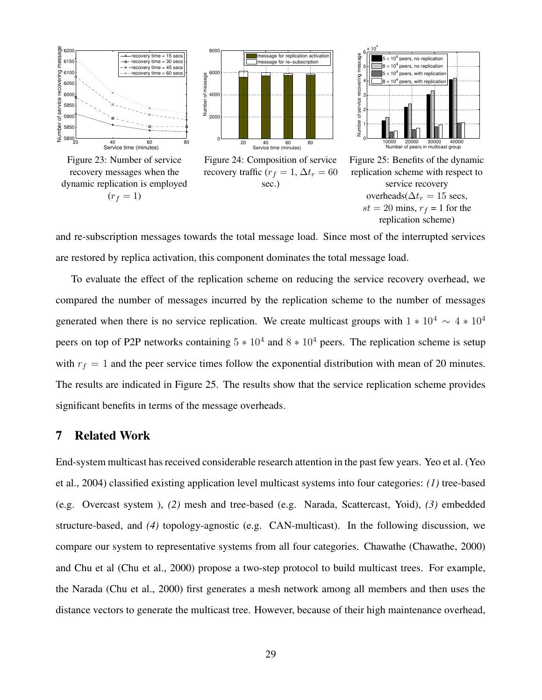

Figure 23: Number of service recovery messages when the dynamic replication is employed  $(r_f = 1)$ 



Figure 24: Composition of service recovery traffic ( $r_f = 1$ ,  $\Delta t_r = 60$ sec.)



Figure 25: Benefits of the dynamic replication scheme with respect to service recovery overheads( $\Delta t_r = 15$  secs,  $st = 20$  mins,  $r_f = 1$  for the replication scheme)

and re-subscription messages towards the total message load. Since most of the interrupted services are restored by replica activation, this component dominates the total message load.

To evaluate the effect of the replication scheme on reducing the service recovery overhead, we compared the number of messages incurred by the replication scheme to the number of messages generated when there is no service replication. We create multicast groups with  $1 * 10^4 \sim 4 * 10^4$ peers on top of P2P networks containing  $5 * 10^4$  and  $8 * 10^4$  peers. The replication scheme is setup with  $r_f = 1$  and the peer service times follow the exponential distribution with mean of 20 minutes. The results are indicated in Figure 25. The results show that the service replication scheme provides significant benefits in terms of the message overheads.

## **7 Related Work**

End-system multicast hasreceived considerable research attention in the past few years. Yeo et al. (Yeo et al., 2004) classified existing application level multicast systems into four categories: *(1)* tree-based (e.g. Overcast system ), *(2)* mesh and tree-based (e.g. Narada, Scattercast, Yoid), *(3)* embedded structure-based, and *(4)* topology-agnostic (e.g. CAN-multicast). In the following discussion, we compare our system to representative systems from all four categories. Chawathe (Chawathe, 2000) and Chu et al (Chu et al., 2000) propose a two-step protocol to build multicast trees. For example, the Narada (Chu et al., 2000) first generates a mesh network among all members and then uses the distance vectors to generate the multicast tree. However, because of their high maintenance overhead,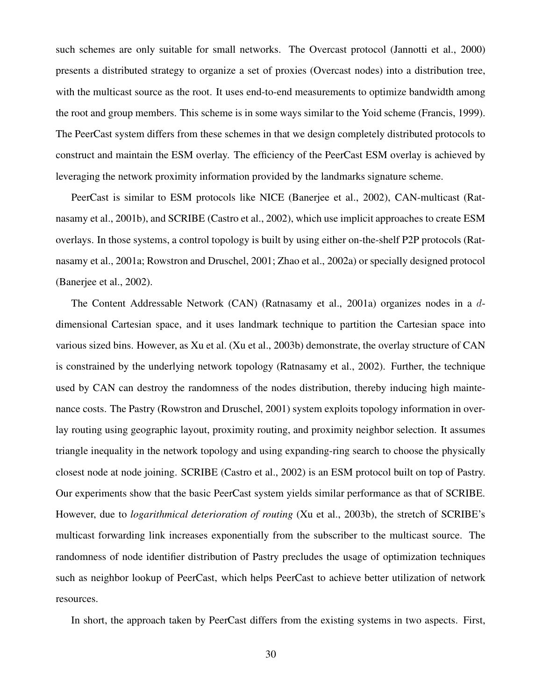such schemes are only suitable for small networks. The Overcast protocol (Jannotti et al., 2000) presents a distributed strategy to organize a set of proxies (Overcast nodes) into a distribution tree, with the multicast source as the root. It uses end-to-end measurements to optimize bandwidth among the root and group members. This scheme is in some ways similar to the Yoid scheme (Francis, 1999). The PeerCast system differs from these schemes in that we design completely distributed protocols to construct and maintain the ESM overlay. The efficiency of the PeerCast ESM overlay is achieved by leveraging the network proximity information provided by the landmarks signature scheme.

PeerCast is similar to ESM protocols like NICE (Banerjee et al., 2002), CAN-multicast (Ratnasamy et al., 2001b), and SCRIBE (Castro et al., 2002), which use implicit approaches to create ESM overlays. In those systems, a control topology is built by using either on-the-shelf P2P protocols (Ratnasamy et al., 2001a; Rowstron and Druschel, 2001; Zhao et al., 2002a) or specially designed protocol (Banerjee et al., 2002).

The Content Addressable Network (CAN) (Ratnasamy et al., 2001a) organizes nodes in a ddimensional Cartesian space, and it uses landmark technique to partition the Cartesian space into various sized bins. However, as Xu et al. (Xu et al., 2003b) demonstrate, the overlay structure of CAN is constrained by the underlying network topology (Ratnasamy et al., 2002). Further, the technique used by CAN can destroy the randomness of the nodes distribution, thereby inducing high maintenance costs. The Pastry (Rowstron and Druschel, 2001) system exploits topology information in overlay routing using geographic layout, proximity routing, and proximity neighbor selection. It assumes triangle inequality in the network topology and using expanding-ring search to choose the physically closest node at node joining. SCRIBE (Castro et al., 2002) is an ESM protocol built on top of Pastry. Our experiments show that the basic PeerCast system yields similar performance as that of SCRIBE. However, due to *logarithmical deterioration of routing* (Xu et al., 2003b), the stretch of SCRIBE's multicast forwarding link increases exponentially from the subscriber to the multicast source. The randomness of node identifier distribution of Pastry precludes the usage of optimization techniques such as neighbor lookup of PeerCast, which helps PeerCast to achieve better utilization of network resources.

In short, the approach taken by PeerCast differs from the existing systems in two aspects. First,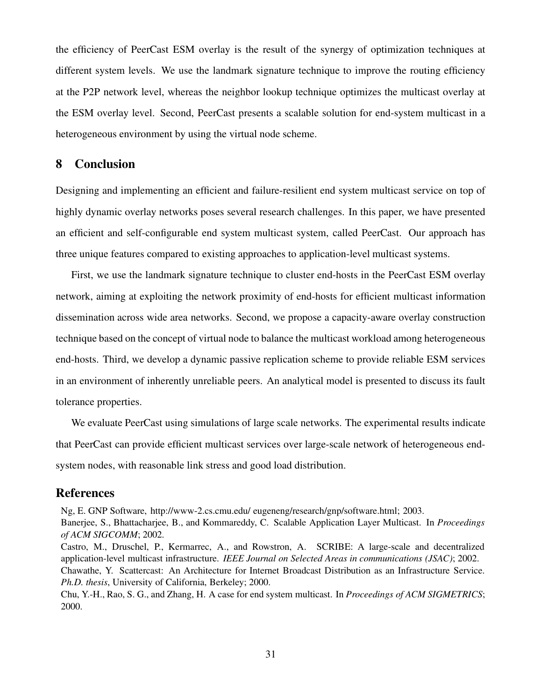the efficiency of PeerCast ESM overlay is the result of the synergy of optimization techniques at different system levels. We use the landmark signature technique to improve the routing efficiency at the P2P network level, whereas the neighbor lookup technique optimizes the multicast overlay at the ESM overlay level. Second, PeerCast presents a scalable solution for end-system multicast in a heterogeneous environment by using the virtual node scheme.

## **8 Conclusion**

Designing and implementing an efficient and failure-resilient end system multicast service on top of highly dynamic overlay networks poses several research challenges. In this paper, we have presented an efficient and self-configurable end system multicast system, called PeerCast. Our approach has three unique features compared to existing approaches to application-level multicast systems.

First, we use the landmark signature technique to cluster end-hosts in the PeerCast ESM overlay network, aiming at exploiting the network proximity of end-hosts for efficient multicast information dissemination across wide area networks. Second, we propose a capacity-aware overlay construction technique based on the concept of virtual node to balance the multicast workload among heterogeneous end-hosts. Third, we develop a dynamic passive replication scheme to provide reliable ESM services in an environment of inherently unreliable peers. An analytical model is presented to discuss its fault tolerance properties.

We evaluate PeerCast using simulations of large scale networks. The experimental results indicate that PeerCast can provide efficient multicast services over large-scale network of heterogeneous endsystem nodes, with reasonable link stress and good load distribution.

#### **References**

Ng, E. GNP Software, http://www-2.cs.cmu.edu/ eugeneng/research/gnp/software.html; 2003.

Banerjee, S., Bhattacharjee, B., and Kommareddy, C. Scalable Application Layer Multicast. In *Proceedings of ACM SIGCOMM*; 2002.

Castro, M., Druschel, P., Kermarrec, A., and Rowstron, A. SCRIBE: A large-scale and decentralized application-level multicast infrastructure. *IEEE Journal on Selected Areas in communications (JSAC)*; 2002.

Chawathe, Y. Scattercast: An Architecture for Internet Broadcast Distribution as an Infrastructure Service. *Ph.D. thesis*, University of California, Berkeley; 2000.

Chu, Y.-H., Rao, S. G., and Zhang, H. A case for end system multicast. In *Proceedings of ACM SIGMETRICS*; 2000.